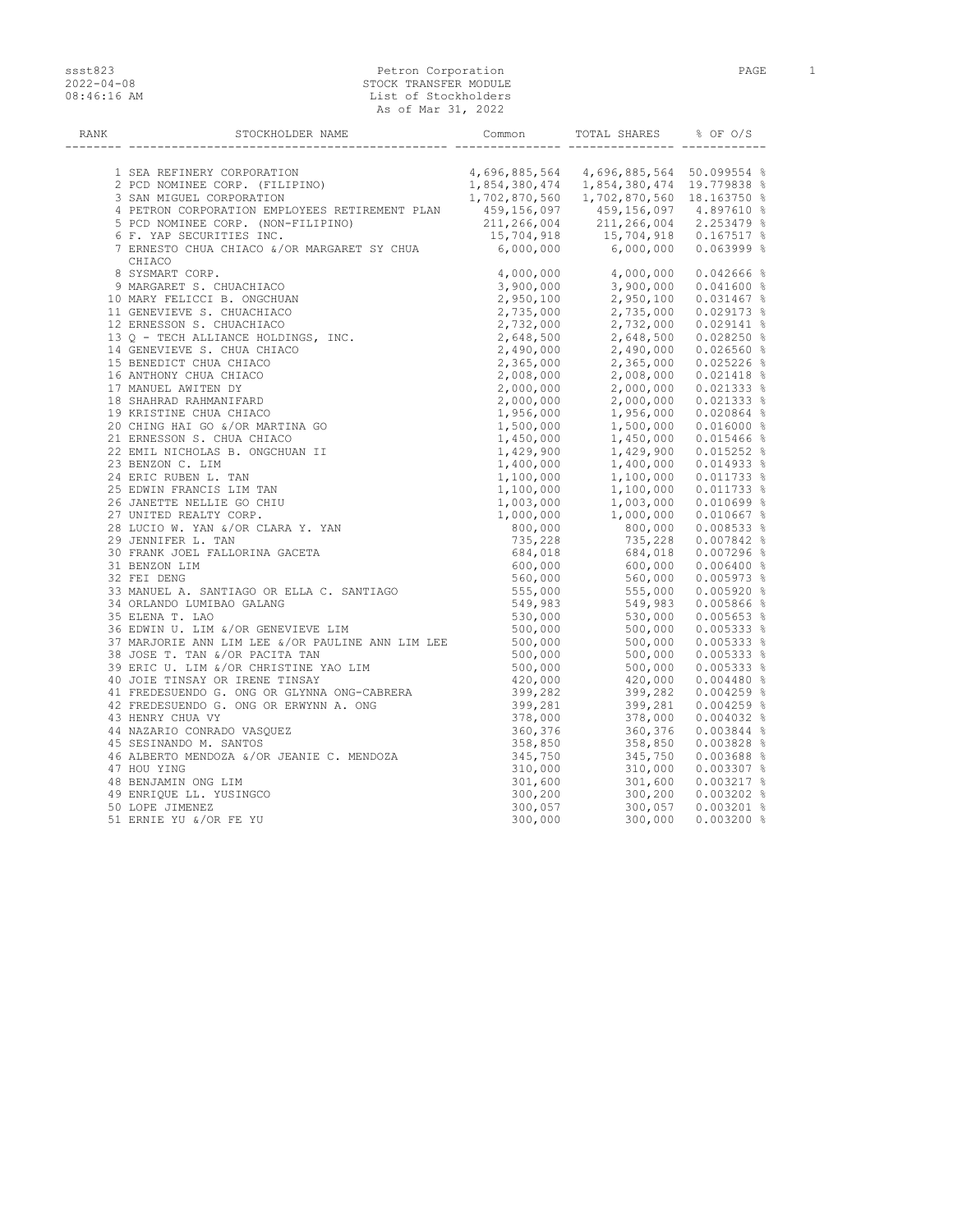## ssst823 Petron Corporation PaGE 1 2022-04-08 STOCK TRANSFER MODULE 08:46:16 AM List of Stockholders As of Mar 31, 2022

| RANK | STOCKHOLDER NAME Common | TOTAL SHARES % OF O/S |  |
|------|-------------------------|-----------------------|--|
|      |                         |                       |  |
|      |                         |                       |  |
|      |                         |                       |  |
|      |                         |                       |  |
|      |                         |                       |  |
|      |                         |                       |  |
|      |                         |                       |  |
|      |                         |                       |  |
|      | CHIACO                  |                       |  |
|      |                         |                       |  |
|      |                         |                       |  |
|      |                         |                       |  |
|      |                         |                       |  |
|      |                         |                       |  |
|      |                         |                       |  |
|      |                         |                       |  |
|      |                         |                       |  |
|      |                         |                       |  |
|      |                         |                       |  |
|      |                         |                       |  |
|      |                         |                       |  |
|      |                         |                       |  |
|      |                         |                       |  |
|      |                         |                       |  |
|      |                         |                       |  |
|      |                         |                       |  |
|      |                         |                       |  |
|      |                         |                       |  |
|      |                         |                       |  |
|      |                         |                       |  |
|      |                         |                       |  |
|      |                         |                       |  |
|      |                         |                       |  |
|      |                         |                       |  |
|      |                         |                       |  |
|      |                         |                       |  |
|      |                         |                       |  |
|      |                         |                       |  |
|      |                         |                       |  |
|      |                         |                       |  |
|      |                         |                       |  |
|      |                         |                       |  |
|      |                         |                       |  |
|      |                         |                       |  |
|      |                         |                       |  |
|      |                         |                       |  |
|      |                         |                       |  |
|      |                         |                       |  |
|      |                         |                       |  |
|      |                         |                       |  |
|      |                         |                       |  |
|      |                         |                       |  |
|      |                         |                       |  |
|      |                         |                       |  |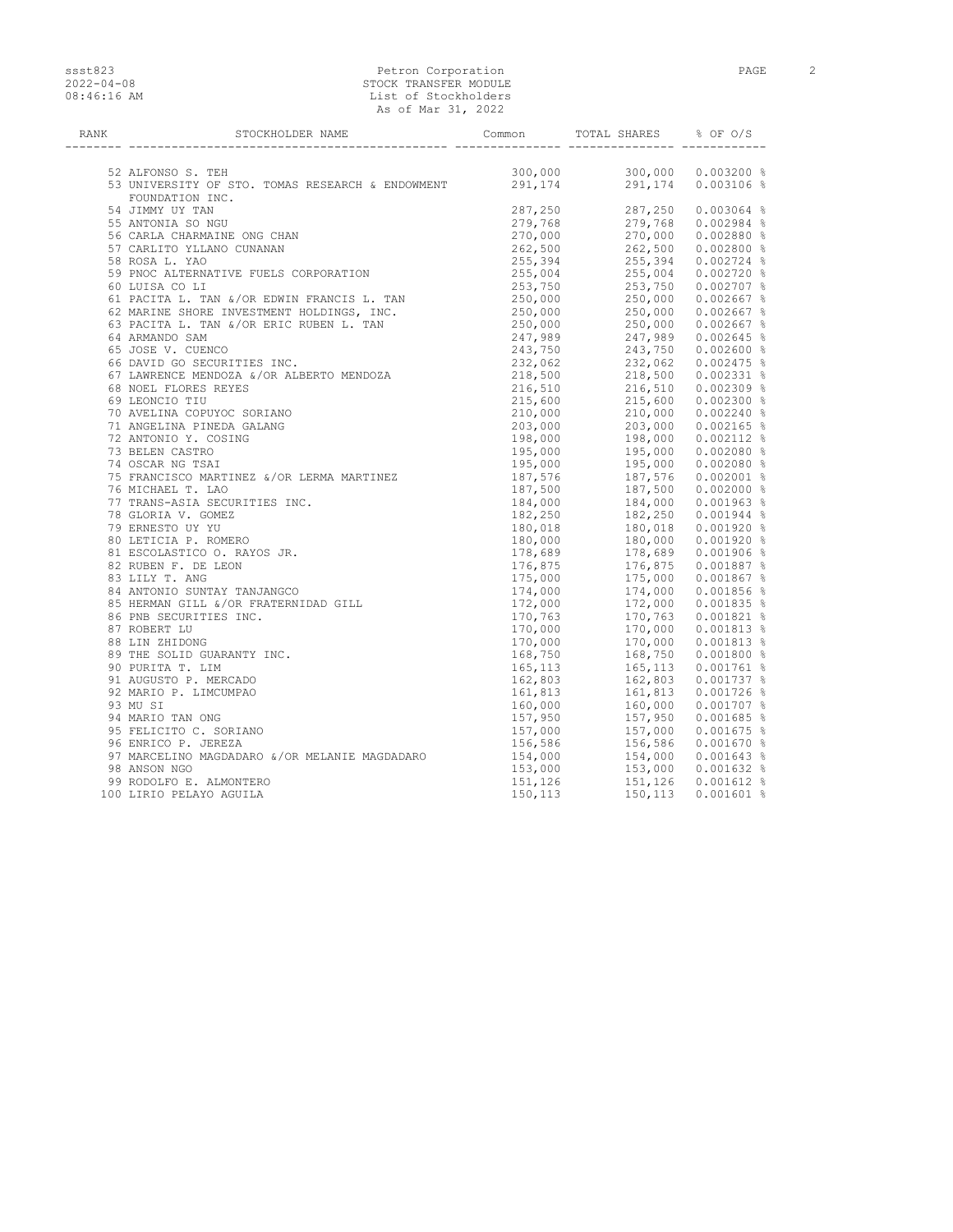## ssst823 Petron Corporation Petron Corporation PAGE 2 2022-04-08 STOCK TRANSFER MODULE 08:46:16 AM List of Stockholders As of Mar 31, 2022

| <b>RANK</b> | STOCKHOLDER NAME                                                                                                                                                                                                                               | <b>Common</b>          | TOTAL SHARES                                                                                          | % OF 0/S                                                                                                                                                                                                                                                               |
|-------------|------------------------------------------------------------------------------------------------------------------------------------------------------------------------------------------------------------------------------------------------|------------------------|-------------------------------------------------------------------------------------------------------|------------------------------------------------------------------------------------------------------------------------------------------------------------------------------------------------------------------------------------------------------------------------|
|             |                                                                                                                                                                                                                                                |                        |                                                                                                       |                                                                                                                                                                                                                                                                        |
|             | 52 ALFONSO S. TEH                                                                                                                                                                                                                              | 300,000                | $(1003200$ $(10003106)$ $(287, 250)$ $(279, 768)$ $(279, 768)$ $(270, 000)$ $(262, 500)$ $(262, 500)$ |                                                                                                                                                                                                                                                                        |
|             | 53 UNIVERSITY OF STO. TOMAS RESEARCH & ENDOWMENT                                                                                                                                                                                               | 291, 174               |                                                                                                       |                                                                                                                                                                                                                                                                        |
|             | FOUNDATION INC.                                                                                                                                                                                                                                |                        |                                                                                                       |                                                                                                                                                                                                                                                                        |
|             | 54 JIMMY UY TAN                                                                                                                                                                                                                                | 287,250                |                                                                                                       |                                                                                                                                                                                                                                                                        |
|             | 55 ANTONIA SO NGU                                                                                                                                                                                                                              | 279,768                |                                                                                                       |                                                                                                                                                                                                                                                                        |
|             | 56 CARLA CHARMAINE ONG CHAN                                                                                                                                                                                                                    | 270,000                |                                                                                                       |                                                                                                                                                                                                                                                                        |
|             | 57 CARLITO YLLANO CUNANAN                                                                                                                                                                                                                      | 262,500                |                                                                                                       |                                                                                                                                                                                                                                                                        |
|             | 58 ROSA L. YAO                                                                                                                                                                                                                                 | 255,394                |                                                                                                       | 255,394 0.002724 %                                                                                                                                                                                                                                                     |
|             |                                                                                                                                                                                                                                                |                        |                                                                                                       | 255,004 0.002720 %                                                                                                                                                                                                                                                     |
|             |                                                                                                                                                                                                                                                |                        |                                                                                                       | 253,750 0.002707 %                                                                                                                                                                                                                                                     |
|             | 36 ROSA L. TAO<br>60 LUISA CO LI<br>60 LUISA CO LI<br>61 PACITA L. TAN &/OR EDWIN FRANCIS L. TAN 255,004<br>62 MARINE SHORE INVESTMENT HOLDINGS, INC. 250,000<br>62 MARINE SHORE INVESTMENT HOLDINGS, INC. 250,000<br>63 PACITA L. TAN &/O     |                        |                                                                                                       | 250,000 0.002667 %                                                                                                                                                                                                                                                     |
|             |                                                                                                                                                                                                                                                |                        |                                                                                                       | 250,000 0.002667 %                                                                                                                                                                                                                                                     |
|             |                                                                                                                                                                                                                                                |                        |                                                                                                       | 250,000 0.002667 %                                                                                                                                                                                                                                                     |
|             |                                                                                                                                                                                                                                                |                        |                                                                                                       | 247,989 0.002645 %                                                                                                                                                                                                                                                     |
|             |                                                                                                                                                                                                                                                |                        |                                                                                                       | 243,750 0.002600 %                                                                                                                                                                                                                                                     |
|             | 66 DAVID GO SECURITIES INC.<br>67 LAMRENCE MENDOZA &/OR ALBERTO MENDOZA<br>68 NOEL FLORES PEVES                                                                                                                                                | 232,062<br>218,500     |                                                                                                       |                                                                                                                                                                                                                                                                        |
|             |                                                                                                                                                                                                                                                |                        |                                                                                                       |                                                                                                                                                                                                                                                                        |
|             | 68 NOEL FLORES REYES                                                                                                                                                                                                                           | 216,510                |                                                                                                       |                                                                                                                                                                                                                                                                        |
|             |                                                                                                                                                                                                                                                | 215,600                |                                                                                                       |                                                                                                                                                                                                                                                                        |
|             | 68 NOEL FRONCE ----<br>69 LEONCIO TIU<br>70 AVELINA COPUYOC SORIANO<br>71 AMGELINA PINEDA GALANG                                                                                                                                               | 210,000                |                                                                                                       | $232,062$ $0.002475$ $\frac{2}{3}$<br>$218,500$ $0.002331$ $\frac{8}{3}$<br>$216,510$ $0.002309$ $\frac{8}{3}$<br>$215,600$ $0.002300$ $\frac{8}{3}$<br>$203,000$ $0.002165$ $\frac{8}{3}$<br>$198,000$ $0.002112$ $\frac{8}{3}$<br>$195,000$ $0.002080$ $\frac{8}{3}$ |
|             |                                                                                                                                                                                                                                                | 203,000                |                                                                                                       |                                                                                                                                                                                                                                                                        |
|             | 72 ANTONIO Y. COSING                                                                                                                                                                                                                           | 198,000                |                                                                                                       |                                                                                                                                                                                                                                                                        |
|             | 73 BELEN CASTRO                                                                                                                                                                                                                                | 195,000                |                                                                                                       | 195,000 0.002080 %                                                                                                                                                                                                                                                     |
|             | 74 OSCAR NG TSAI                                                                                                                                                                                                                               | $195,000$<br>$187,576$ |                                                                                                       | 195,000 0.002080 %                                                                                                                                                                                                                                                     |
|             | 75 FRANCISCO MARTINEZ &/OR LERMA MARTINEZ                                                                                                                                                                                                      |                        |                                                                                                       | 187,576  0.002001 %                                                                                                                                                                                                                                                    |
|             | 76 MICHAEL T. LAO                                                                                                                                                                                                                              | 187,500                |                                                                                                       |                                                                                                                                                                                                                                                                        |
|             | 77 TRANS-ASIA SECURITIES INC.                                                                                                                                                                                                                  | 184,000                |                                                                                                       | 187,500  0.002000  %<br>184,000  0.001963  %                                                                                                                                                                                                                           |
|             |                                                                                                                                                                                                                                                | 182,250                |                                                                                                       | 182,250 0.001944 %                                                                                                                                                                                                                                                     |
|             | 77 TRANS-ASIA JUVATI---<br>78 GLORIA V. GOMEZ<br>80 LETICIA P. ROMERO<br>81 ESCOLASTICO O. RAYOS JR.<br>82 RUBEN F. DE LEON<br>83 LILY T. ANG<br>84 ANTONIO SUNTAY TANJANGCO<br>85 HERMAN GILL &/OR FRATERNIDAD GILL<br>86 PNR SECURITIES INC. | 180,018                |                                                                                                       | 182,250    0.001944  %<br>180,018     0.001920  %<br>180,000     0.001920  %                                                                                                                                                                                           |
|             |                                                                                                                                                                                                                                                | 180,000                |                                                                                                       |                                                                                                                                                                                                                                                                        |
|             |                                                                                                                                                                                                                                                | 178,689                |                                                                                                       | 178,689 0.001906 %                                                                                                                                                                                                                                                     |
|             |                                                                                                                                                                                                                                                | 176,875                |                                                                                                       | 176,875 0.001887 %                                                                                                                                                                                                                                                     |
|             |                                                                                                                                                                                                                                                | 175,000                |                                                                                                       | 175,000 0.001867 %                                                                                                                                                                                                                                                     |
|             |                                                                                                                                                                                                                                                | 174,000                |                                                                                                       | 174,000 0.001856 %                                                                                                                                                                                                                                                     |
|             |                                                                                                                                                                                                                                                | 172,000                |                                                                                                       | 172,000 0.001835 %                                                                                                                                                                                                                                                     |
|             |                                                                                                                                                                                                                                                | 170,763                |                                                                                                       | 170,763 0.001821 %                                                                                                                                                                                                                                                     |
|             | 87 ROBERT LU                                                                                                                                                                                                                                   | 170,000                |                                                                                                       | 170,000 0.001813 %                                                                                                                                                                                                                                                     |
|             | 88 LIN ZHIDONG                                                                                                                                                                                                                                 | 170,000                |                                                                                                       | 170,000 0.001813 %                                                                                                                                                                                                                                                     |
|             | 89 THE SOLID GUARANTY INC.                                                                                                                                                                                                                     | 168,750                |                                                                                                       | 168,750  0.001800 %                                                                                                                                                                                                                                                    |
|             | 90 PURITA T. LIM                                                                                                                                                                                                                               | 165,113                |                                                                                                       | 165,113  0.001761 %                                                                                                                                                                                                                                                    |
|             | 91 AUGUSTO P. MERCADO                                                                                                                                                                                                                          | 162,803                |                                                                                                       | 162,803 0.001737 %                                                                                                                                                                                                                                                     |
|             | 92 MARIO P. LIMCUMPAO                                                                                                                                                                                                                          | 161,813                |                                                                                                       | 161,813 0.001726 %                                                                                                                                                                                                                                                     |
|             | 93 MU SI                                                                                                                                                                                                                                       | 160,000                |                                                                                                       | 160,000 0.001707 %                                                                                                                                                                                                                                                     |
|             | 94 MARIO TAN ONG                                                                                                                                                                                                                               | 157,950                |                                                                                                       | 157,950 0.001685 %                                                                                                                                                                                                                                                     |
|             | 95 FELICITO C. SORIANO                                                                                                                                                                                                                         |                        |                                                                                                       | 157,000 0.001675 %                                                                                                                                                                                                                                                     |
|             | 96 ENRICO P. JEREZA                                                                                                                                                                                                                            | 157,000<br>156,586     |                                                                                                       | 156,586 0.001670 %                                                                                                                                                                                                                                                     |
|             | 97 MARCELINO MAGDADARO &/OR MELANIE MAGDADARO                                                                                                                                                                                                  | 154,000                |                                                                                                       | 154,000  0.001643 %                                                                                                                                                                                                                                                    |
|             | 98 ANSON NGO                                                                                                                                                                                                                                   | 153,000                |                                                                                                       |                                                                                                                                                                                                                                                                        |
|             | 99 RODOLFO E. ALMONTERO                                                                                                                                                                                                                        |                        |                                                                                                       |                                                                                                                                                                                                                                                                        |
|             | 100 LIRIO PELAYO AGUILA                                                                                                                                                                                                                        | 151, 126<br>150, 113   | 150,113                                                                                               | $0.001601$ %                                                                                                                                                                                                                                                           |
|             |                                                                                                                                                                                                                                                |                        |                                                                                                       |                                                                                                                                                                                                                                                                        |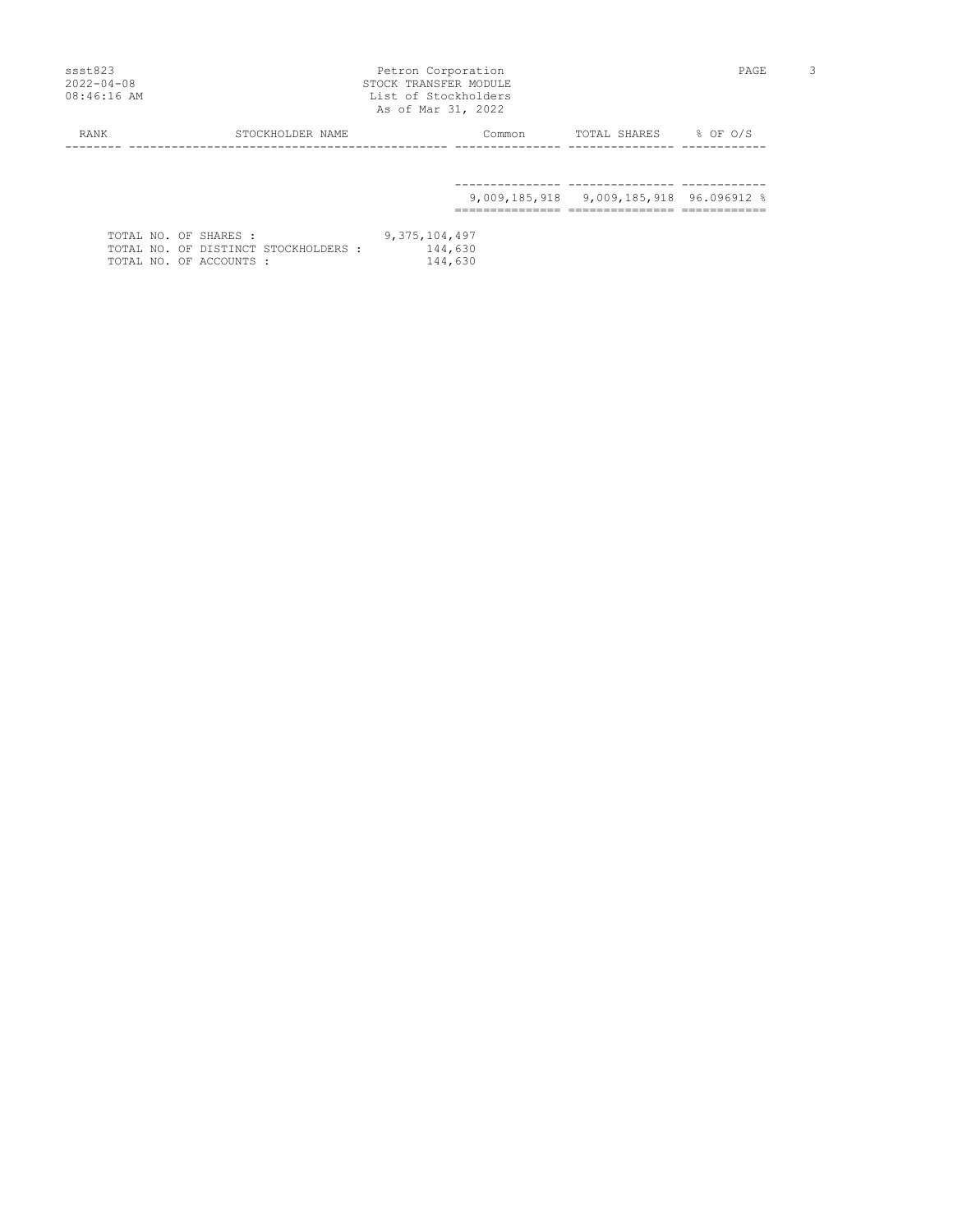## ssst823 Petron Corporation Petron Corporation PAGE 3 2022-04-08 STOCK TRANSFER MODULE 08:46:16 AM List of Stockholders As of Mar 31, 2022

| RANK | STOCKHOLDER NAME                                                | Common             | $8$ OF $0/S$<br>TOTAL SHARES            |
|------|-----------------------------------------------------------------|--------------------|-----------------------------------------|
|      |                                                                 |                    |                                         |
|      |                                                                 |                    | 9,009,185,918 9,009,185,918 96.096912 % |
|      |                                                                 |                    |                                         |
|      | TOTAL NO. OF SHARES :                                           | 9, 375, 104, 497   |                                         |
|      | TOTAL NO. OF DISTINCT STOCKHOLDERS :<br>TOTAL NO. OF ACCOUNTS : | 144,630<br>144,630 |                                         |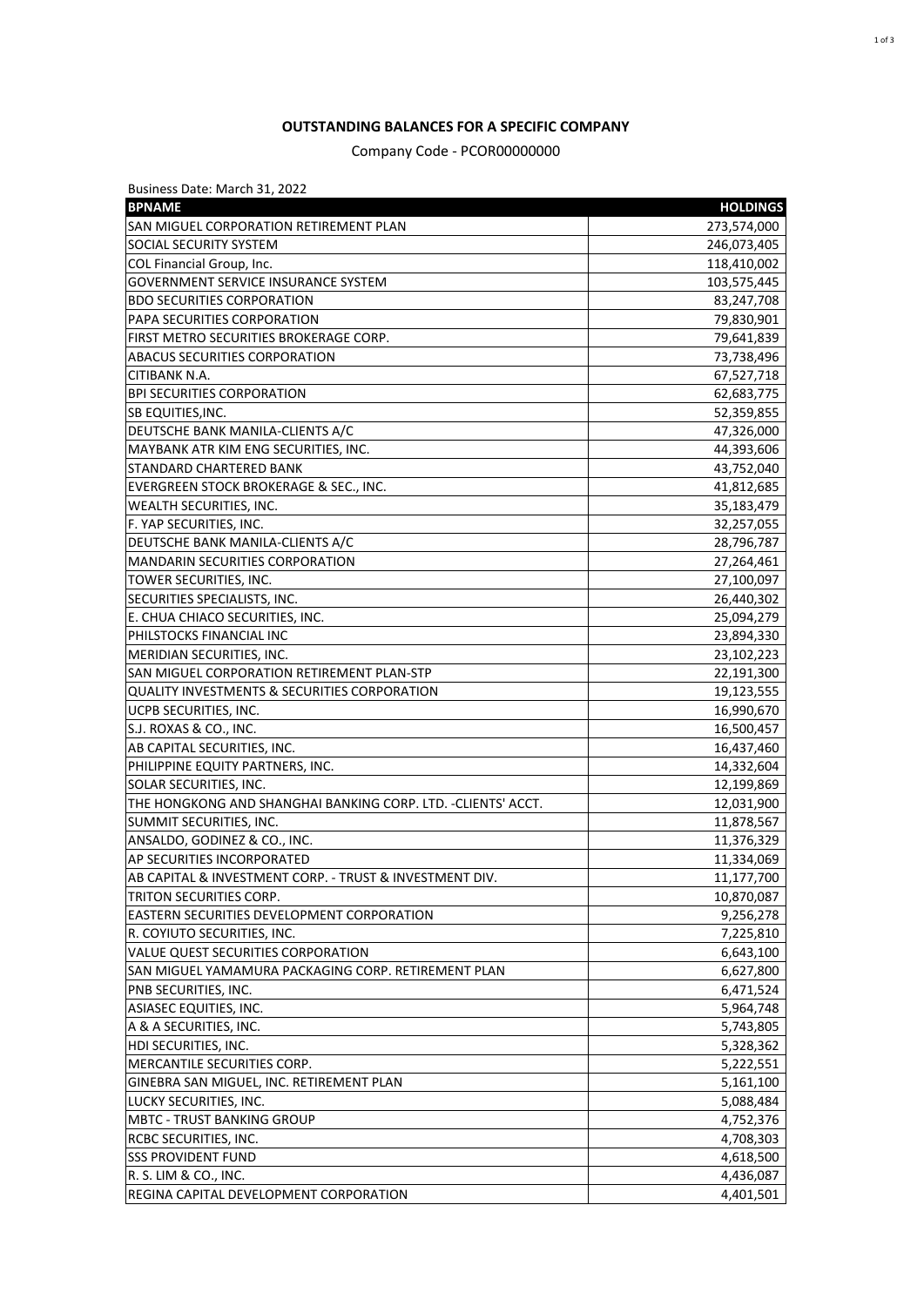## **OUTSTANDING BALANCES FOR A SPECIFIC COMPANY**

Company Code - PCOR00000000

| Business Date: March 31, 2022                                 |                          |
|---------------------------------------------------------------|--------------------------|
| <b>BPNAME</b>                                                 | <b>HOLDINGS</b>          |
| SAN MIGUEL CORPORATION RETIREMENT PLAN                        | 273,574,000              |
| <b>SOCIAL SECURITY SYSTEM</b>                                 | 246,073,405              |
| COL Financial Group, Inc.                                     | 118,410,002              |
| <b>GOVERNMENT SERVICE INSURANCE SYSTEM</b>                    | 103,575,445              |
| <b>BDO SECURITIES CORPORATION</b>                             | 83,247,708               |
| PAPA SECURITIES CORPORATION                                   | 79,830,901               |
| FIRST METRO SECURITIES BROKERAGE CORP.                        | 79,641,839               |
| <b>ABACUS SECURITIES CORPORATION</b>                          | 73,738,496               |
| CITIBANK N.A.                                                 | 67,527,718               |
| <b>BPI SECURITIES CORPORATION</b>                             | 62,683,775               |
| SB EQUITIES, INC.                                             | 52,359,855               |
| DEUTSCHE BANK MANILA-CLIENTS A/C                              | 47,326,000               |
| MAYBANK ATR KIM ENG SECURITIES, INC.                          | 44,393,606               |
| STANDARD CHARTERED BANK                                       | 43,752,040               |
| EVERGREEN STOCK BROKERAGE & SEC., INC.                        | 41,812,685               |
| WEALTH SECURITIES, INC.                                       | 35,183,479               |
| F. YAP SECURITIES, INC.                                       | 32,257,055               |
| DEUTSCHE BANK MANILA-CLIENTS A/C                              | 28,796,787               |
| <b>MANDARIN SECURITIES CORPORATION</b>                        |                          |
|                                                               | 27,264,461<br>27,100,097 |
| TOWER SECURITIES, INC.                                        |                          |
| SECURITIES SPECIALISTS, INC.                                  | 26,440,302               |
| E. CHUA CHIACO SECURITIES, INC.                               | 25,094,279               |
| PHILSTOCKS FINANCIAL INC                                      | 23,894,330               |
| MERIDIAN SECURITIES, INC.                                     | 23,102,223               |
| SAN MIGUEL CORPORATION RETIREMENT PLAN-STP                    | 22,191,300               |
| <b>QUALITY INVESTMENTS &amp; SECURITIES CORPORATION</b>       | 19,123,555               |
| UCPB SECURITIES, INC.                                         | 16,990,670               |
| S.J. ROXAS & CO., INC.                                        | 16,500,457               |
| AB CAPITAL SECURITIES, INC.                                   | 16,437,460               |
| PHILIPPINE EQUITY PARTNERS, INC.                              | 14,332,604               |
| SOLAR SECURITIES, INC.                                        | 12,199,869               |
| THE HONGKONG AND SHANGHAI BANKING CORP. LTD. - CLIENTS' ACCT. | 12,031,900               |
| SUMMIT SECURITIES, INC.                                       | 11,878,567               |
| ANSALDO, GODINEZ & CO., INC.                                  | 11,376,329               |
| AP SECURITIES INCORPORATED                                    | 11,334,069               |
| AB CAPITAL & INVESTMENT CORP. - TRUST & INVESTMENT DIV.       | 11,177,700               |
| TRITON SECURITIES CORP.                                       | 10,870,087               |
| EASTERN SECURITIES DEVELOPMENT CORPORATION                    | 9,256,278                |
| R. COYIUTO SECURITIES, INC.                                   | 7,225,810                |
| VALUE QUEST SECURITIES CORPORATION                            | 6,643,100                |
| SAN MIGUEL YAMAMURA PACKAGING CORP. RETIREMENT PLAN           | 6,627,800                |
| PNB SECURITIES, INC.                                          | 6,471,524                |
| ASIASEC EQUITIES, INC.                                        | 5,964,748                |
| A & A SECURITIES, INC.                                        | 5,743,805                |
| HDI SECURITIES, INC.                                          | 5,328,362                |
| MERCANTILE SECURITIES CORP.                                   | 5,222,551                |
| GINEBRA SAN MIGUEL, INC. RETIREMENT PLAN                      | 5,161,100                |
| LUCKY SECURITIES, INC.                                        | 5,088,484                |
| <b>MBTC - TRUST BANKING GROUP</b>                             | 4,752,376                |
| RCBC SECURITIES, INC.                                         | 4,708,303                |
| <b>SSS PROVIDENT FUND</b>                                     | 4,618,500                |
| R. S. LIM & CO., INC.                                         | 4,436,087                |
| REGINA CAPITAL DEVELOPMENT CORPORATION                        | 4,401,501                |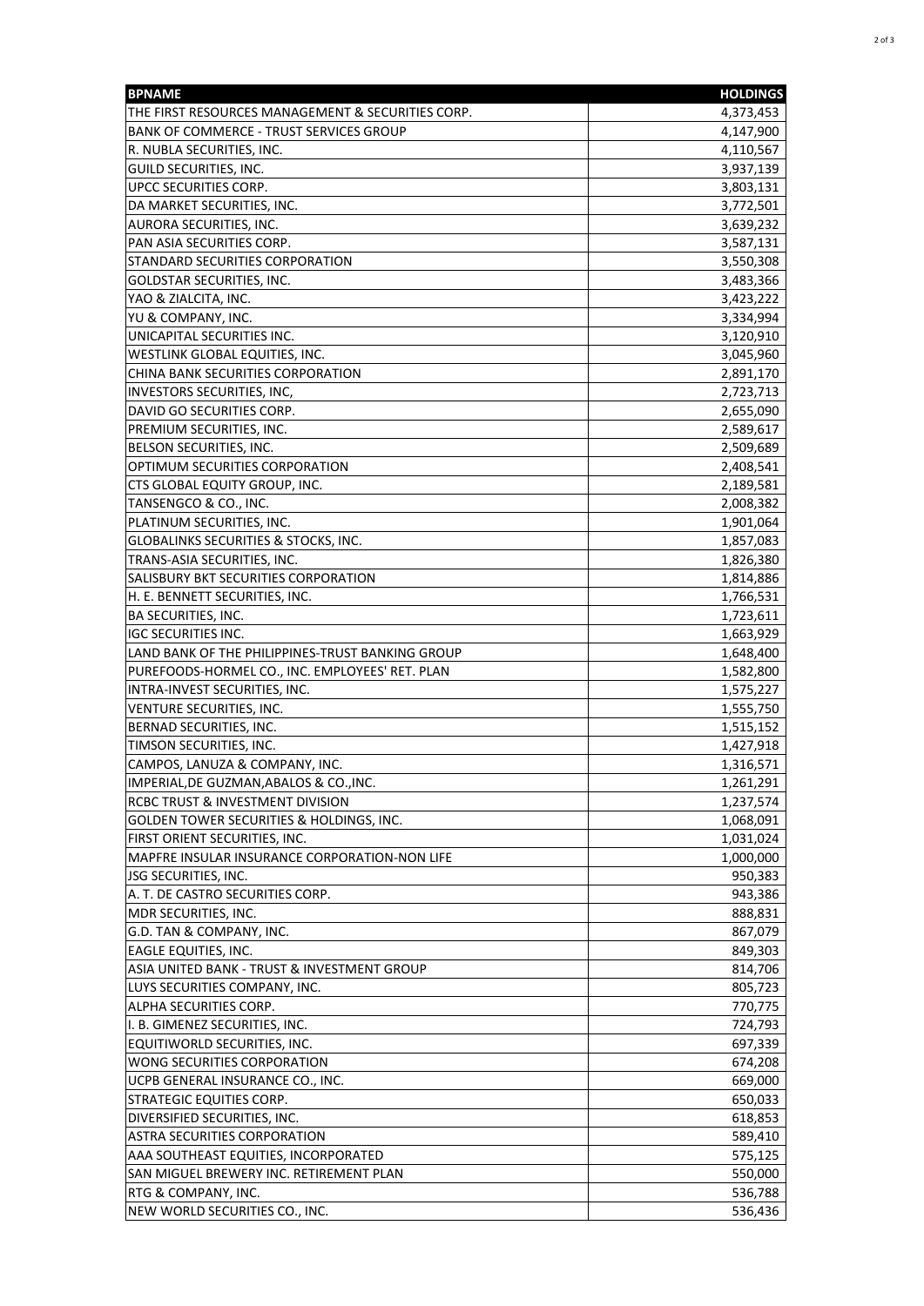| <b>BPNAME</b>                                                                  | <b>HOLDINGS</b>        |
|--------------------------------------------------------------------------------|------------------------|
| THE FIRST RESOURCES MANAGEMENT & SECURITIES CORP.                              | 4,373,453              |
| <b>BANK OF COMMERCE - TRUST SERVICES GROUP</b>                                 | 4,147,900              |
| R. NUBLA SECURITIES, INC.                                                      | 4,110,567              |
| GUILD SECURITIES, INC.                                                         | 3,937,139              |
| UPCC SECURITIES CORP.                                                          | 3,803,131              |
| DA MARKET SECURITIES, INC.                                                     | 3,772,501              |
| AURORA SECURITIES, INC.                                                        | 3,639,232              |
| PAN ASIA SECURITIES CORP.                                                      | 3,587,131              |
| STANDARD SECURITIES CORPORATION                                                | 3,550,308              |
| GOLDSTAR SECURITIES, INC.                                                      | 3,483,366              |
| YAO & ZIALCITA, INC.                                                           | 3,423,222              |
| YU & COMPANY, INC.                                                             | 3,334,994              |
| UNICAPITAL SECURITIES INC.                                                     | 3,120,910              |
| WESTLINK GLOBAL EQUITIES, INC.                                                 | 3,045,960              |
| CHINA BANK SECURITIES CORPORATION                                              | 2,891,170              |
| INVESTORS SECURITIES, INC,                                                     | 2,723,713              |
| DAVID GO SECURITIES CORP.                                                      | 2,655,090              |
| PREMIUM SECURITIES, INC.                                                       | 2,589,617              |
| BELSON SECURITIES, INC.                                                        | 2,509,689              |
| OPTIMUM SECURITIES CORPORATION                                                 | 2,408,541              |
| CTS GLOBAL EQUITY GROUP, INC.                                                  | 2,189,581              |
| TANSENGCO & CO., INC.                                                          | 2,008,382              |
| PLATINUM SECURITIES, INC.                                                      | 1,901,064              |
| GLOBALINKS SECURITIES & STOCKS, INC.                                           | 1,857,083              |
| TRANS-ASIA SECURITIES, INC.                                                    | 1,826,380              |
| SALISBURY BKT SECURITIES CORPORATION                                           | 1,814,886              |
| H. E. BENNETT SECURITIES, INC.                                                 | 1,766,531              |
| <b>BA SECURITIES, INC.</b>                                                     | 1,723,611              |
| <b>IGC SECURITIES INC.</b><br>LAND BANK OF THE PHILIPPINES-TRUST BANKING GROUP | 1,663,929              |
| PUREFOODS-HORMEL CO., INC. EMPLOYEES' RET. PLAN                                | 1,648,400              |
| INTRA-INVEST SECURITIES, INC.                                                  | 1,582,800<br>1,575,227 |
| VENTURE SECURITIES, INC.                                                       | 1,555,750              |
| BERNAD SECURITIES, INC.                                                        | 1,515,152              |
| TIMSON SECURITIES, INC.                                                        | 1,427,918              |
| CAMPOS, LANUZA & COMPANY, INC.                                                 | 1,316,571              |
| IMPERIAL, DE GUZMAN, ABALOS & CO., INC.                                        | 1,261,291              |
| <b>RCBC TRUST &amp; INVESTMENT DIVISION</b>                                    | 1,237,574              |
| GOLDEN TOWER SECURITIES & HOLDINGS, INC.                                       | 1,068,091              |
| FIRST ORIENT SECURITIES, INC.                                                  | 1,031,024              |
| MAPFRE INSULAR INSURANCE CORPORATION-NON LIFE                                  | 1,000,000              |
| <b>JSG SECURITIES, INC.</b>                                                    | 950,383                |
| A. T. DE CASTRO SECURITIES CORP.                                               | 943,386                |
| MDR SECURITIES, INC.                                                           | 888,831                |
| G.D. TAN & COMPANY, INC.                                                       | 867,079                |
| <b>EAGLE EQUITIES, INC.</b>                                                    | 849,303                |
| ASIA UNITED BANK - TRUST & INVESTMENT GROUP                                    | 814,706                |
| LUYS SECURITIES COMPANY, INC.                                                  | 805,723                |
| ALPHA SECURITIES CORP.                                                         | 770,775                |
| I. B. GIMENEZ SECURITIES, INC.                                                 | 724,793                |
| EQUITIWORLD SECURITIES, INC.                                                   | 697,339                |
| WONG SECURITIES CORPORATION                                                    | 674,208                |
| UCPB GENERAL INSURANCE CO., INC.                                               | 669,000                |
| STRATEGIC EQUITIES CORP.                                                       | 650,033                |
| DIVERSIFIED SECURITIES, INC.                                                   | 618,853                |
| ASTRA SECURITIES CORPORATION                                                   | 589,410                |
| AAA SOUTHEAST EQUITIES, INCORPORATED                                           | 575,125                |
| SAN MIGUEL BREWERY INC. RETIREMENT PLAN                                        | 550,000                |
| RTG & COMPANY, INC.<br>NEW WORLD SECURITIES CO., INC.                          | 536,788<br>536,436     |
|                                                                                |                        |